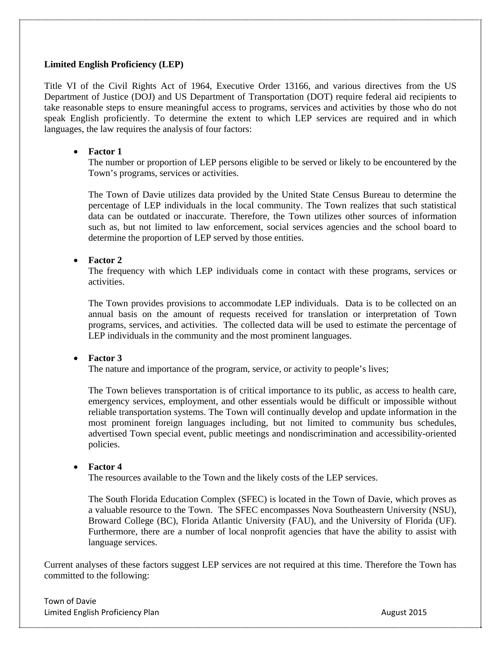## **Limited English Proficiency (LEP)**

Title VI of the Civil Rights Act of 1964, Executive Order 13166, and various directives from the US Department of Justice (DOJ) and US Department of Transportation (DOT) require federal aid recipients to take reasonable steps to ensure meaningful access to programs, services and activities by those who do not speak English proficiently. To determine the extent to which LEP services are required and in which languages, the law requires the analysis of four factors:

## **Factor 1**

The number or proportion of LEP persons eligible to be served or likely to be encountered by the Town's programs, services or activities.

The Town of Davie utilizes data provided by the United State Census Bureau to determine the percentage of LEP individuals in the local community. The Town realizes that such statistical data can be outdated or inaccurate. Therefore, the Town utilizes other sources of information such as, but not limited to law enforcement, social services agencies and the school board to determine the proportion of LEP served by those entities.

## **Factor 2**

The frequency with which LEP individuals come in contact with these programs, services or activities.

The Town provides provisions to accommodate LEP individuals. Data is to be collected on an annual basis on the amount of requests received for translation or interpretation of Town programs, services, and activities. The collected data will be used to estimate the percentage of LEP individuals in the community and the most prominent languages.

#### **Factor 3**

The nature and importance of the program, service, or activity to people's lives;

The Town believes transportation is of critical importance to its public, as access to health care, emergency services, employment, and other essentials would be difficult or impossible without reliable transportation systems. The Town will continually develop and update information in the most prominent foreign languages including, but not limited to community bus schedules, advertised Town special event, public meetings and nondiscrimination and accessibility-oriented policies.

#### **Factor 4**

The resources available to the Town and the likely costs of the LEP services.

The South Florida Education Complex (SFEC) is located in the Town of Davie, which proves as a valuable resource to the Town. The SFEC encompasses Nova Southeastern University (NSU), Broward College (BC), Florida Atlantic University (FAU), and the University of Florida (UF). Furthermore, there are a number of local nonprofit agencies that have the ability to assist with language services.

Current analyses of these factors suggest LEP services are not required at this time. Therefore the Town has committed to the following:

Town of Davie Limited English Proficiency Plan August 2015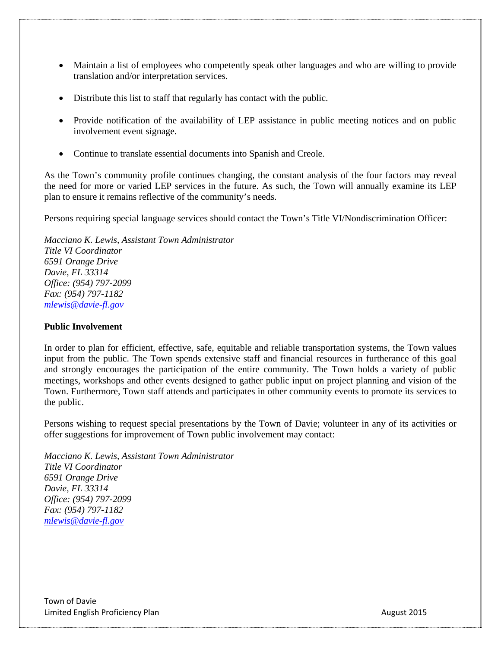- Maintain a list of employees who competently speak other languages and who are willing to provide translation and/or interpretation services.
- Distribute this list to staff that regularly has contact with the public.
- Provide notification of the availability of LEP assistance in public meeting notices and on public involvement event signage.
- Continue to translate essential documents into Spanish and Creole.

As the Town's community profile continues changing, the constant analysis of the four factors may reveal the need for more or varied LEP services in the future. As such, the Town will annually examine its LEP plan to ensure it remains reflective of the community's needs.

Persons requiring special language services should contact the Town's Title VI/Nondiscrimination Officer:

*Macciano K. Lewis, Assistant Town Administrator Title VI Coordinator 6591 Orange Drive Davie, FL 33314 Office: (954) 797-2099 Fax: (954) 797-1182 mlewis@davie-fl.gov*

# **Public Involvement**

In order to plan for efficient, effective, safe, equitable and reliable transportation systems, the Town values input from the public. The Town spends extensive staff and financial resources in furtherance of this goal and strongly encourages the participation of the entire community. The Town holds a variety of public meetings, workshops and other events designed to gather public input on project planning and vision of the Town. Furthermore, Town staff attends and participates in other community events to promote its services to the public.

Persons wishing to request special presentations by the Town of Davie; volunteer in any of its activities or offer suggestions for improvement of Town public involvement may contact:

*Macciano K. Lewis, Assistant Town Administrator Title VI Coordinator 6591 Orange Drive Davie, FL 33314 Office: (954) 797-2099 Fax: (954) 797-1182 mlewis@davie-fl.gov*